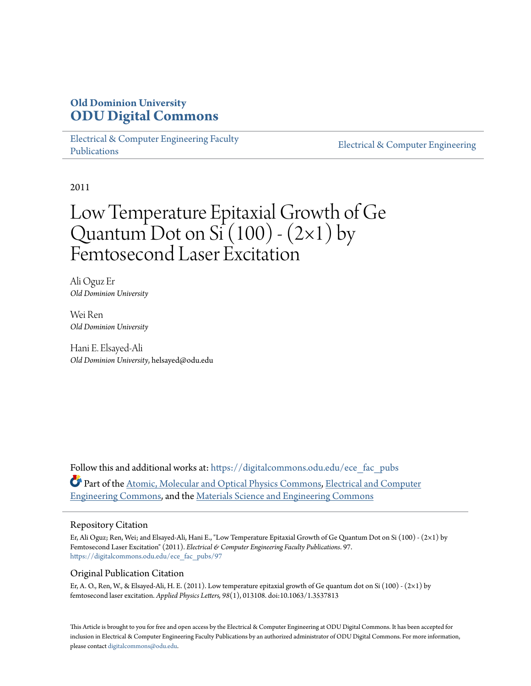## **Old Dominion University [ODU Digital Commons](https://digitalcommons.odu.edu?utm_source=digitalcommons.odu.edu%2Fece_fac_pubs%2F97&utm_medium=PDF&utm_campaign=PDFCoverPages)**

[Electrical & Computer Engineering Faculty](https://digitalcommons.odu.edu/ece_fac_pubs?utm_source=digitalcommons.odu.edu%2Fece_fac_pubs%2F97&utm_medium=PDF&utm_campaign=PDFCoverPages) [Publications](https://digitalcommons.odu.edu/ece_fac_pubs?utm_source=digitalcommons.odu.edu%2Fece_fac_pubs%2F97&utm_medium=PDF&utm_campaign=PDFCoverPages)

[Electrical & Computer Engineering](https://digitalcommons.odu.edu/ece?utm_source=digitalcommons.odu.edu%2Fece_fac_pubs%2F97&utm_medium=PDF&utm_campaign=PDFCoverPages)

2011

# Low Temperature Epitaxial Growth of Ge Quantum Dot on Si  $(100)$  -  $(2\times1)$  by Femtosecond Laser Excitation

Ali Oguz Er *Old Dominion University*

Wei Ren *Old Dominion University*

Hani E. Elsayed-Ali *Old Dominion University*, helsayed@odu.edu

Follow this and additional works at: [https://digitalcommons.odu.edu/ece\\_fac\\_pubs](https://digitalcommons.odu.edu/ece_fac_pubs?utm_source=digitalcommons.odu.edu%2Fece_fac_pubs%2F97&utm_medium=PDF&utm_campaign=PDFCoverPages) Part of the [Atomic, Molecular and Optical Physics Commons,](http://network.bepress.com/hgg/discipline/195?utm_source=digitalcommons.odu.edu%2Fece_fac_pubs%2F97&utm_medium=PDF&utm_campaign=PDFCoverPages) [Electrical and Computer](http://network.bepress.com/hgg/discipline/266?utm_source=digitalcommons.odu.edu%2Fece_fac_pubs%2F97&utm_medium=PDF&utm_campaign=PDFCoverPages) [Engineering Commons,](http://network.bepress.com/hgg/discipline/266?utm_source=digitalcommons.odu.edu%2Fece_fac_pubs%2F97&utm_medium=PDF&utm_campaign=PDFCoverPages) and the [Materials Science and Engineering Commons](http://network.bepress.com/hgg/discipline/285?utm_source=digitalcommons.odu.edu%2Fece_fac_pubs%2F97&utm_medium=PDF&utm_campaign=PDFCoverPages)

#### Repository Citation

Er, Ali Oguz; Ren, Wei; and Elsayed-Ali, Hani E., "Low Temperature Epitaxial Growth of Ge Quantum Dot on Si (100) - (2×1) by Femtosecond Laser Excitation" (2011). *Electrical & Computer Engineering Faculty Publications*. 97. [https://digitalcommons.odu.edu/ece\\_fac\\_pubs/97](https://digitalcommons.odu.edu/ece_fac_pubs/97?utm_source=digitalcommons.odu.edu%2Fece_fac_pubs%2F97&utm_medium=PDF&utm_campaign=PDFCoverPages)

#### Original Publication Citation

Er, A. O., Ren, W., & Elsayed-Ali, H. E. (2011). Low temperature epitaxial growth of Ge quantum dot on Si (100) - (2×1) by femtosecond laser excitation. *Applied Physics Letters, 98*(1), 013108. doi:10.1063/1.3537813

This Article is brought to you for free and open access by the Electrical & Computer Engineering at ODU Digital Commons. It has been accepted for inclusion in Electrical & Computer Engineering Faculty Publications by an authorized administrator of ODU Digital Commons. For more information, please contact [digitalcommons@odu.edu](mailto:digitalcommons@odu.edu).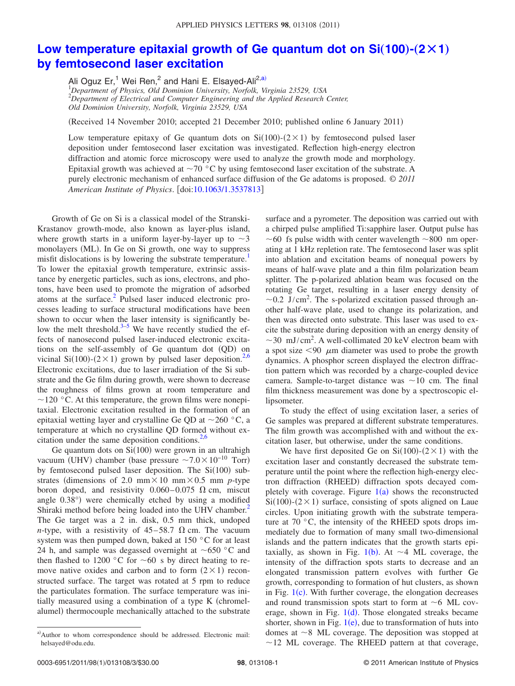### Low temperature epitaxial growth of Ge quantum dot on  $Si(100)-(2\times1)$ **[by femtosecond laser excitation](http://dx.doi.org/10.1063/1.3537813)**

Ali Oguz Er,<sup>1</sup> Wei Ren,<sup>2</sup> and Hani E. Elsayed-Ali<sup>2[,a](#page-1-0))</sup>

1 *Department of Physics, Old Dominion University, Norfolk, Virginia 23529, USA* 2 *Department of Electrical and Computer Engineering and the Applied Research Center, Old Dominion University, Norfolk, Virginia 23529, USA*

(Received 14 November 2010; accepted 21 December 2010; published online 6 January 2011)

Low temperature epitaxy of Ge quantum dots on  $Si(100)-(2\times1)$  by femtosecond pulsed laser deposition under femtosecond laser excitation was investigated. Reflection high-energy electron diffraction and atomic force microscopy were used to analyze the growth mode and morphology. Epitaxial growth was achieved at  $\sim$  70 °C by using femtosecond laser excitation of the substrate. A purely electronic mechanism of enhanced surface diffusion of the Ge adatoms is proposed. © *2011 American Institute of Physics*. doi[:10.1063/1.3537813](http://dx.doi.org/10.1063/1.3537813)

Growth of Ge on Si is a classical model of the Stranski-Krastanov growth-mode, also known as layer-plus island, where growth starts in a uniform layer-by-layer up to  $\sim$ 3 monolayers (ML). In Ge on Si growth, one way to suppress misfit dislocations is by lowering the substrate temperature.<sup>1</sup> To lower the epitaxial growth temperature, extrinsic assistance by energetic particles, such as ions, electrons, and photons, have been used to promote the migration of adsorbed atoms at the surface[.2](#page-3-1) Pulsed laser induced electronic processes leading to surface structural modifications have been shown to occur when the laser intensity is significantly below the melt threshold. $3-5$  We have recently studied the effects of nanosecond pulsed laser-induced electronic excitations on the self-assembly of Ge quantum dot (QD) on vicinal Si(100)-(2×1) grown by pulsed laser deposition.<sup>2[,6](#page-3-4)</sup> Electronic excitations, due to laser irradiation of the Si substrate and the Ge film during growth, were shown to decrease the roughness of films grown at room temperature and  $\sim$ 120 °C. At this temperature, the grown films were nonepitaxial. Electronic excitation resulted in the formation of an epitaxial wetting layer and crystalline Ge QD at  $\sim$ 260 °C, a temperature at which no crystalline QD formed without excitation under the same deposition conditions. $2,6$  $2,6$ 

Ge quantum dots on  $Si(100)$  were grown in an ultrahigh vacuum (UHV) chamber (base pressure  $\sim$ 7.0 $\times$ 10<sup>-10</sup> Torr) by femtosecond pulsed laser deposition. The  $Si(100)$  substrates (dimensions of 2.0 mm $\times$  10 mm $\times$  0.5 mm *p*-type boron doped, and resistivity  $0.060 - 0.075 \Omega$  cm, miscut angle 0.38° were chemically etched by using a modified Shiraki method before being loaded into the UHV chamber.<sup>2</sup> The Ge target was a 2 in. disk, 0.5 mm thick, undoped *n*-type, with a resistivity of  $45-58.7 \Omega$  cm. The vacuum system was then pumped down, baked at 150 °C for at least 24 h, and sample was degassed overnight at  $\sim 650$  °C and then flashed to 1200 °C for  $\sim 60$  s by direct heating to remove native oxides and carbon and to form  $(2 \times 1)$  reconstructed surface. The target was rotated at 5 rpm to reduce the particulates formation. The surface temperature was initially measured using a combination of a type K (chromelalumel) thermocouple mechanically attached to the substrate

surface and a pyrometer. The deposition was carried out with a chirped pulse amplified Ti:sapphire laser. Output pulse has  $\sim$  60 fs pulse width with center wavelength  $\sim$  800 nm operating at 1 kHz repletion rate. The femtosecond laser was split into ablation and excitation beams of nonequal powers by means of half-wave plate and a thin film polarization beam splitter. The p-polarized ablation beam was focused on the rotating Ge target, resulting in a laser energy density of  $\sim$ 0.2 J/cm<sup>2</sup>. The s-polarized excitation passed through another half-wave plate, used to change its polarization, and then was directed onto substrate. This laser was used to excite the substrate during deposition with an energy density of  $\sim$ 30 mJ/cm<sup>2</sup>. A well-collimated 20 keV electron beam with a spot size  $\leq 90$   $\mu$ m diameter was used to probe the growth dynamics. A phosphor screen displayed the electron diffraction pattern which was recorded by a charge-coupled device camera. Sample-to-target distance was  $\sim$ 10 cm. The final film thickness measurement was done by a spectroscopic ellipsometer.

To study the effect of using excitation laser, a series of Ge samples was prepared at different substrate temperatures. The film growth was accomplished with and without the excitation laser, but otherwise, under the same conditions.

We have first deposited Ge on  $Si(100)-(2\times1)$  with the excitation laser and constantly decreased the substrate temperature until the point where the reflection high-energy electron diffraction (RHEED) diffraction spots decayed completely with coverage. Figure  $1(a)$  $1(a)$  shows the reconstructed  $Si(100)$ - $(2 \times 1)$  surface, consisting of spots aligned on Laue circles. Upon initiating growth with the substrate temperature at 70 °C, the intensity of the RHEED spots drops immediately due to formation of many small two-dimensional islands and the pattern indicates that the growth starts epi-taxially, as shown in Fig. [1](#page-2-0)(b). At  $\sim$  4 ML coverage, the intensity of the diffraction spots starts to decrease and an elongated transmission pattern evolves with further Ge growth, corresponding to formation of hut clusters, as shown in Fig.  $1(c)$  $1(c)$ . With further coverage, the elongation decreases and round transmission spots start to form at  $\sim$  6 ML coverage, shown in Fig.  $1(d)$  $1(d)$ . Those elongated streaks became shorter, shown in Fig.  $1(e)$  $1(e)$ , due to transformation of huts into domes at  $\sim$  8 ML coverage. The deposition was stopped at  $\sim$ 12 ML coverage. The RHEED pattern at that coverage,

<span id="page-1-0"></span>a)Author to whom correspondence should be addressed. Electronic mail: helsayed@odu.edu.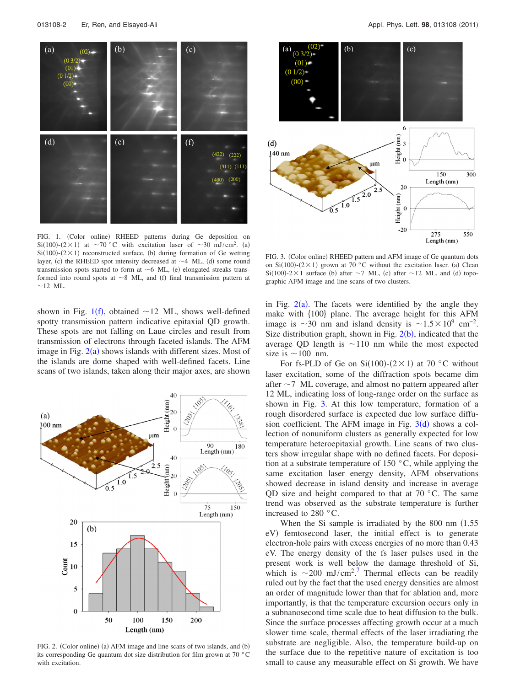<span id="page-2-0"></span>

FIG. 1. (Color online) RHEED patterns during Ge deposition on  $Si(100)-(2\times1)$  at ~70 °C with excitation laser of ~30 mJ/cm<sup>2</sup>. (a)  $Si(100)$ - $(2 \times 1)$  reconstructed surface, (b) during formation of Ge wetting layer, (c) the RHEED spot intensity decreased at  $\sim$  4 ML, (d) some round transmission spots started to form at  $\sim$  6 ML, (e) elongated streaks transformed into round spots at  $\sim$  8 ML, and (f) final transmission pattern at  $\sim$ 12 ML.

shown in Fig. [1](#page-2-0)(f), obtained  $\sim$  12 ML, shows well-defined spotty transmission pattern indicative epitaxial QD growth. These spots are not falling on Laue circles and result from transmission of electrons through faceted islands. The AFM image in Fig.  $2(a)$  $2(a)$  shows islands with different sizes. Most of the islands are dome shaped with well-defined facets. Line scans of two islands, taken along their major axes, are shown

<span id="page-2-1"></span>

FIG. 2. (Color online) (a) AFM image and line scans of two islands, and (b) its corresponding Ge quantum dot size distribution for film grown at 70 °C with excitation.

<span id="page-2-2"></span>

FIG. 3. (Color online) RHEED pattern and AFM image of Ge quantum dots on Si(100)-(2 × 1) grown at 70 °C without the excitation laser. (a) Clean  $Si(100)$ -2×1 surface (b) after ~7 ML, (c) after ~12 ML, and (d) topographic AFM image and line scans of two clusters.

in Fig.  $2(a)$  $2(a)$ . The facets were identified by the angle they make with  $\{100\}$  plane. The average height for this AFM image is  $\sim$ 30 nm and island density is  $\sim$ 1.5 $\times$ 10<sup>9</sup> cm<sup>-2</sup>. Size distribution graph, shown in Fig.  $2(b)$  $2(b)$ , indicated that the average QD length is  $\sim$ 110 nm while the most expected size is  $\sim$  100 nm.

For fs-PLD of Ge on Si(100)-( $2 \times 1$ ) at 70 °C without laser excitation, some of the diffraction spots became dim after  $\sim$  7 ML coverage, and almost no pattern appeared after 12 ML, indicating loss of long-range order on the surface as shown in Fig. [3.](#page-2-2) At this low temperature, formation of a rough disordered surface is expected due low surface diffusion coefficient. The AFM image in Fig.  $3(d)$  $3(d)$  shows a collection of nonuniform clusters as generally expected for low temperature heteroepitaxial growth. Line scans of two clusters show irregular shape with no defined facets. For deposition at a substrate temperature of 150 $\degree$ C, while applying the same excitation laser energy density, AFM observations showed decrease in island density and increase in average QD size and height compared to that at  $70^{\circ}$ C. The same trend was observed as the substrate temperature is further increased to 280 °C.

When the Si sample is irradiated by the  $800$  nm  $(1.55)$ eV) femtosecond laser, the initial effect is to generate electron-hole pairs with excess energies of no more than 0.43 eV. The energy density of the fs laser pulses used in the present work is well below the damage threshold of Si, which is  $\sim$ 200 mJ/cm<sup>2</sup>.<sup>[7](#page-3-5)</sup> Thermal effects can be readily ruled out by the fact that the used energy densities are almost an order of magnitude lower than that for ablation and, more importantly, is that the temperature excursion occurs only in a subnanosecond time scale due to heat diffusion to the bulk. Since the surface processes affecting growth occur at a much slower time scale, thermal effects of the laser irradiating the substrate are negligible. Also, the temperature build-up on the surface due to the repetitive nature of excitation is too small to cause any measurable effect on Si growth. We have